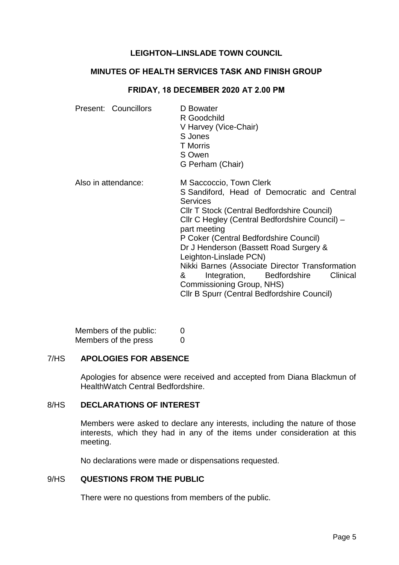# **LEIGHTON–LINSLADE TOWN COUNCIL**

# **MINUTES OF HEALTH SERVICES TASK AND FINISH GROUP**

#### **FRIDAY, 18 DECEMBER 2020 AT 2.00 PM**

| Present: Councillors | D Bowater<br>R Goodchild<br>V Harvey (Vice-Chair)<br>S Jones<br><b>T</b> Morris<br>S Owen<br>G Perham (Chair)                                                                                                                                                                                                                                                                                                                                                                                         |
|----------------------|-------------------------------------------------------------------------------------------------------------------------------------------------------------------------------------------------------------------------------------------------------------------------------------------------------------------------------------------------------------------------------------------------------------------------------------------------------------------------------------------------------|
| Also in attendance:  | M Saccoccio, Town Clerk<br>S Sandiford, Head of Democratic and Central<br><b>Services</b><br>CIIr T Stock (Central Bedfordshire Council)<br>Cllr C Hegley (Central Bedfordshire Council) -<br>part meeting<br>P Coker (Central Bedfordshire Council)<br>Dr J Henderson (Bassett Road Surgery &<br>Leighton-Linslade PCN)<br>Nikki Barnes (Associate Director Transformation<br>Integration, Bedfordshire<br>&<br>Clinical<br>Commissioning Group, NHS)<br>Cllr B Spurr (Central Bedfordshire Council) |

Members of the public: 0 Members of the press 0

# 7/HS **APOLOGIES FOR ABSENCE**

Apologies for absence were received and accepted from Diana Blackmun of HealthWatch Central Bedfordshire.

## 8/HS **DECLARATIONS OF INTEREST**

Members were asked to declare any interests, including the nature of those interests, which they had in any of the items under consideration at this meeting.

No declarations were made or dispensations requested.

# 9/HS **QUESTIONS FROM THE PUBLIC**

There were no questions from members of the public.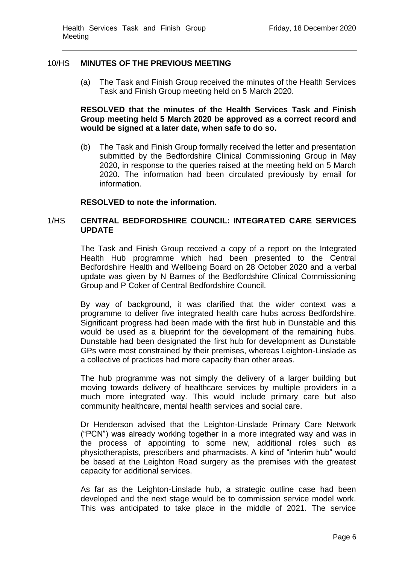### 10/HS **MINUTES OF THE PREVIOUS MEETING**

(a) The Task and Finish Group received the minutes of the Health Services Task and Finish Group meeting held on 5 March 2020.

## **RESOLVED that the minutes of the Health Services Task and Finish Group meeting held 5 March 2020 be approved as a correct record and would be signed at a later date, when safe to do so.**

(b) The Task and Finish Group formally received the letter and presentation submitted by the Bedfordshire Clinical Commissioning Group in May 2020, in response to the queries raised at the meeting held on 5 March 2020. The information had been circulated previously by email for information.

## **RESOLVED to note the information.**

## 1/HS **CENTRAL BEDFORDSHIRE COUNCIL: INTEGRATED CARE SERVICES UPDATE**

The Task and Finish Group received a copy of a report on the Integrated Health Hub programme which had been presented to the Central Bedfordshire Health and Wellbeing Board on 28 October 2020 and a verbal update was given by N Barnes of the Bedfordshire Clinical Commissioning Group and P Coker of Central Bedfordshire Council.

By way of background, it was clarified that the wider context was a programme to deliver five integrated health care hubs across Bedfordshire. Significant progress had been made with the first hub in Dunstable and this would be used as a blueprint for the development of the remaining hubs. Dunstable had been designated the first hub for development as Dunstable GPs were most constrained by their premises, whereas Leighton-Linslade as a collective of practices had more capacity than other areas.

The hub programme was not simply the delivery of a larger building but moving towards delivery of healthcare services by multiple providers in a much more integrated way. This would include primary care but also community healthcare, mental health services and social care.

Dr Henderson advised that the Leighton-Linslade Primary Care Network ("PCN") was already working together in a more integrated way and was in the process of appointing to some new, additional roles such as physiotherapists, prescribers and pharmacists. A kind of "interim hub" would be based at the Leighton Road surgery as the premises with the greatest capacity for additional services.

As far as the Leighton-Linslade hub, a strategic outline case had been developed and the next stage would be to commission service model work. This was anticipated to take place in the middle of 2021. The service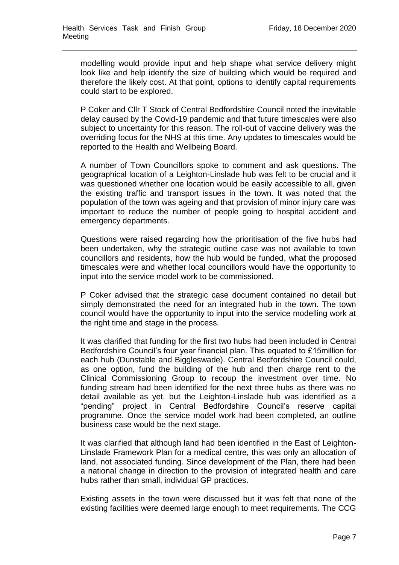modelling would provide input and help shape what service delivery might look like and help identify the size of building which would be required and therefore the likely cost. At that point, options to identify capital requirements could start to be explored.

P Coker and Cllr T Stock of Central Bedfordshire Council noted the inevitable delay caused by the Covid-19 pandemic and that future timescales were also subject to uncertainty for this reason. The roll-out of vaccine delivery was the overriding focus for the NHS at this time. Any updates to timescales would be reported to the Health and Wellbeing Board.

A number of Town Councillors spoke to comment and ask questions. The geographical location of a Leighton-Linslade hub was felt to be crucial and it was questioned whether one location would be easily accessible to all, given the existing traffic and transport issues in the town. It was noted that the population of the town was ageing and that provision of minor injury care was important to reduce the number of people going to hospital accident and emergency departments.

Questions were raised regarding how the prioritisation of the five hubs had been undertaken, why the strategic outline case was not available to town councillors and residents, how the hub would be funded, what the proposed timescales were and whether local councillors would have the opportunity to input into the service model work to be commissioned.

P Coker advised that the strategic case document contained no detail but simply demonstrated the need for an integrated hub in the town. The town council would have the opportunity to input into the service modelling work at the right time and stage in the process.

It was clarified that funding for the first two hubs had been included in Central Bedfordshire Council's four year financial plan. This equated to £15million for each hub (Dunstable and Biggleswade). Central Bedfordshire Council could, as one option, fund the building of the hub and then charge rent to the Clinical Commissioning Group to recoup the investment over time. No funding stream had been identified for the next three hubs as there was no detail available as yet, but the Leighton-Linslade hub was identified as a "pending" project in Central Bedfordshire Council's reserve capital programme. Once the service model work had been completed, an outline business case would be the next stage.

It was clarified that although land had been identified in the East of Leighton-Linslade Framework Plan for a medical centre, this was only an allocation of land, not associated funding. Since development of the Plan, there had been a national change in direction to the provision of integrated health and care hubs rather than small, individual GP practices.

Existing assets in the town were discussed but it was felt that none of the existing facilities were deemed large enough to meet requirements. The CCG